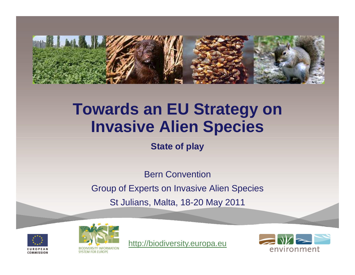

# **Towards an EU Strategy on Invasive Alien Species**

**State of play**

Bern Convention Group of Experts on Invasive Alien SpeciesSt Julians, Malta, 18-20 May 2011





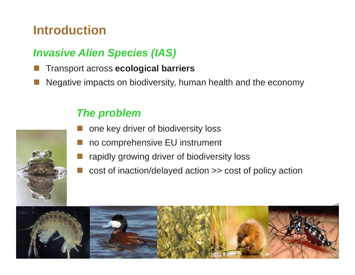## **Introduction**

#### **Invasive Alien Species (IAS)**

- Transport across **ecological barriers**
- k. Negative impacts on biodiversity, human health and the economy



#### **The problem**

- **n** one key driver of biodiversity loss
- no comprehensive EU instrument
- rapidly growing driver of biodiversity loss
- k. cost of inaction/delayed action >> cost of policy action



p.

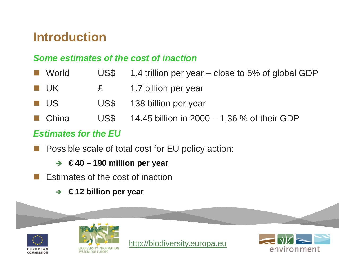## **Introduction**

#### **Some estimates of the cost of inaction**

- **Tara** World US\$ 1.4 trillion per year – close to 5% of global GDP
- UK £ 1.7 billion per year
- $\mathbb{R}^n$ US US\$ 138 billion per year
- China US\$ 14.45 billion in 2000 1,36 % of their GDP

#### **Estimates for the EU**

- k. Possible scale of total cost for EU policy action:
	- **€ 40 – 190 million per year**
- $\mathcal{L}(\mathcal{A})$  Estimates of the cost of inaction
	- **€ 12 billion per year**

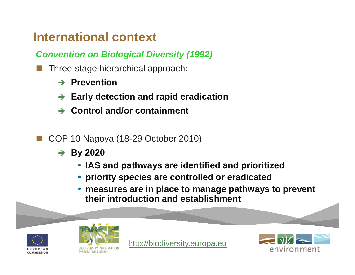## **International context**

**Convention on Biological Diversity (1992)**

- k. Three-stage hierarchical approach:
	- **→ Prevention**
	- **Early detection and rapid eradication**
	- **Control and/or containment**
- COP 10 Nagoya (18-29 October 2010)
	- **By 2020**
		- **IAS and pathways are identified and prioritized**
		- **priority species are controlled or eradicated**
		- **measures are in place to manage pathways to prevent their introduction and establishment**





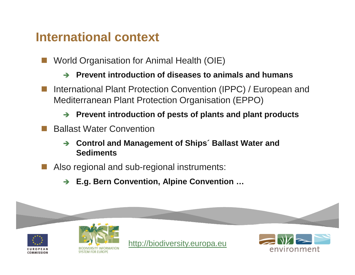#### **International context**

- World Organisation for Animal Health (OIE)
	- **Prevent introduction of diseases to animals and humans**
- International Plant Protection Convention (IPPC) / European and Mediterranean Plant Protection Organisation (EPPO)
	- **Prevent introduction of pests of plants and plant products**
- Ballast Water Convention
	- $\rightarrow$  **Control and Management of Ships´ Ballast Water and Sediments**
- Also regional and sub-regional instruments:
	- **E.g. Bern Convention, Alpine Convention …**

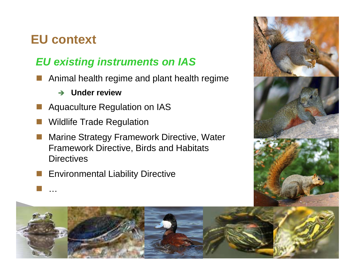## **EU context**

…

#### **EU existing instruments on IAS**

- p. Animal health regime and plant health regime
	- $\rightarrow$ **Under review**
- Aquaculture Regulation on IAS
- p. Wildlife Trade Regulation
- k. Marine Strategy Framework Directive, Water Framework Directive, Birds and Habitats **Directives**
- Environmental Liability Directive



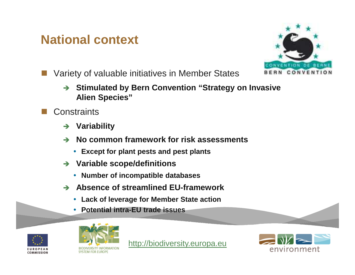## **National context**



- Variety of valuable initiatives in Member States
	- **→ Stimulated by Bern Convention "Strategy on Invasive Alion Species" Alien Species"**
- **Constraints** 
	- $\rightarrow$ **Variability**
	- **No common framework for risk assessments**
		- **Except for plant pests and pest plants**
	- $\rightarrow$  **Variable scope/definitions** 
		- **Number of incompatible databases**
	- **Absence of streamlined EU-framework** 
		- **Lack of leverage for Member State action**
		- **Potential intra-EU trade issues**





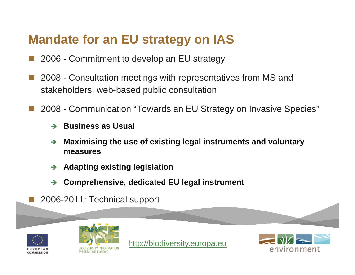## **Mandate for an EU strategy on IAS**

- **Service Service** 2006 - Commitment to develop an EU strategy
- **Service Service**  2008 - Consultation meetings with representatives from MS and stakeholders, web-based public consultation
- 2008 Communication "Towards an EU Strategy on Invasive Species"
	- **Business as Usual**
	- **Maximising the use of existing legal instruments and voluntary**  $\rightarrow$ **measures**
	- $\rightarrow$ **Adapting existing legislation**
	- $\rightarrow$ **Comprehensive, dedicated EU legal instrument**
	- 2006-2011: Technical support



**Service Service** 



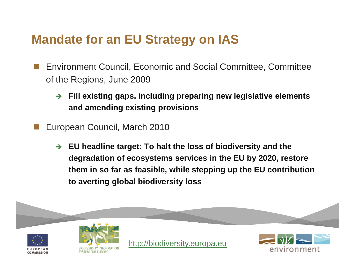## **Mandate for an EU Strategy on IAS**

- Environment Council, Economic and Social Committee, Committee of the Regions, June 2009
	- $\rightarrow$  **Fill existing gaps, including preparing new legislative elements and amending existing provisions**
- European Council, March 2010
	- - **EU headline target: To halt the loss of biodiversity and the degradation of ecosystems services in the EU by 2020, restore them in so far as feasible, while stepping up the EU contribution to averting global biodiversity loss**

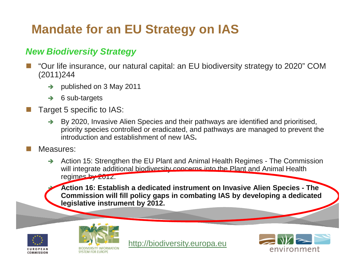## **Mandate for an EU Strategy on IAS**

#### **New Biodiversity Strategy**

- "Our life insurance, our natural capital: an EU biodiversity strategy to 2020" COM (2011)244
	- $\rightarrow$ published on 3 May 2011
	- $\rightarrow$ 6 sub-targets
- $\Box$  Target 5 specific to IAS:
	- $\rightarrow$  By 2020, Invasive Alien Species and their pathways are identified and prioritised, priority species controlled or eradicated, and pathways are managed to prevent the introduction and establishment of new IAS**.**
- $\Box$ Measures:

-

 $\rightarrow$  Action 15: Strengthen the EU Plant and Animal Health Regimes - The Commission will integrate additional biodiversity concerns into the Plant and Animal Health regimes by 2012.

 **Action 16: Establish a dedicated instrument on Invasive Alien Species - The Commission will fill policy gaps in combating IAS by developing a dedicated legislative instrument by 2012.**





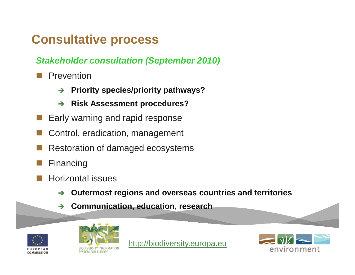**Stakeholder consultation (September 2010)**

- Prevention
	- $\rightarrow$ **Priority species/priority pathways?**
	- $\rightarrow$ **Risk Assessment procedures?**
- k. Early warning and rapid response
- Control, eradication, management
- Restoration of damaged ecosystems
- Financing
- p. Horizontal issues
	- $\rightarrow$ **Outermost regions and overseas countries and territories**
	- $\rightarrow$ **Communication, education, research**





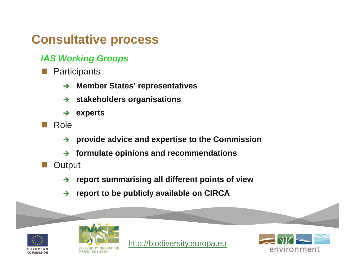#### **IAS Working Groups**

- **Participants** 
	- $\rightarrow$ **Member States' representatives**
	- $\rightarrow$ **stakeholders organisations**
	- $\rightarrow$ **experts**
- Role
	- $\rightarrow$ **provide advice and expertise to the Commission**
	- $\rightarrow$ **formulate opinions and recommendations**
- **Output** 
	- **report summarising all different points of view**
	- $\rightarrow$ **report to be publicly available on CIRCA**





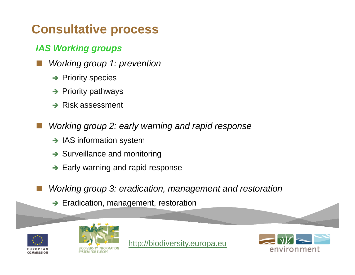#### **IAS Working groups**

- k. Working group 1: prevention
	- **→** Priority species
	- **→** Priority pathways
	- **→** Risk assessment
	- Working group 2: early warning and rapid response
		- → IAS information system
		- → Surveillance and monitoring
		- → Early warning and rapid response
		- Working group 3: eradication, management and restoration
			- Eradication, management, restoration





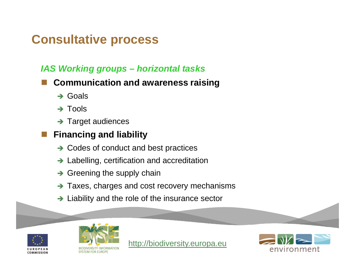#### **IAS Working groups – horizontal tasks**

- **Communication and awareness raising**
	- → Goals
	- → Tools
	- → Target audiences

#### **Financing and liability**

- → Codes of conduct and best practices
- → Labelling, certification and accreditation
- → Greening the supply chain
- → Taxes, charges and cost recovery mechanisms
- → Liability and the role of the insurance sector





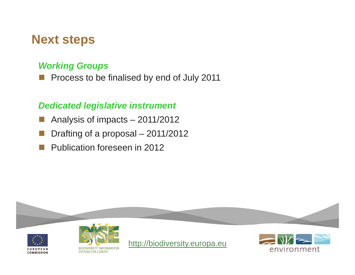#### **Next steps**

#### **Working Groups**

**Process to be finalised by end of July 2011** k.

#### **Dedicated legislative instrument**

- Analysis of impacts 2011/2012
- $\mathbb{R}^n$ Drafting of a proposal – 2011/2012
- H. Publication foreseen in 2012